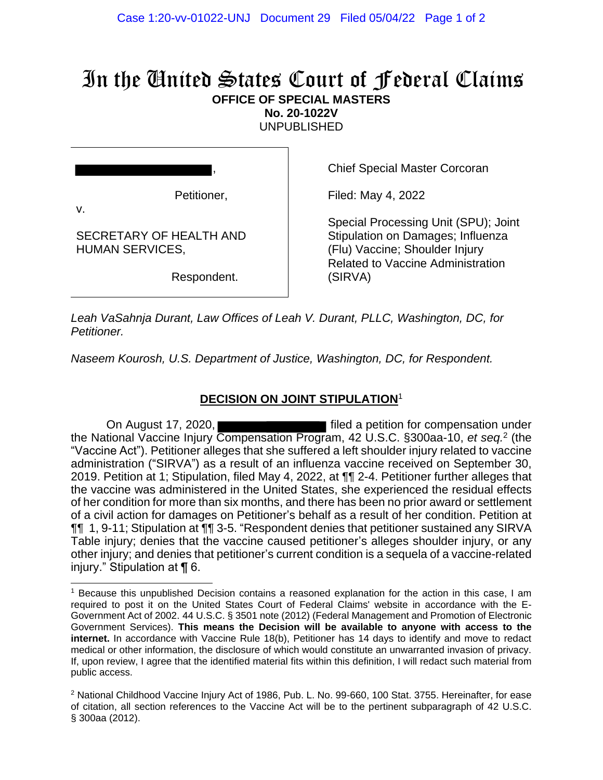## In the United States Court of Federal Claims **OFFICE OF SPECIAL MASTERS**

**No. 20-1022V**

UNPUBLISHED

|                                                         | <b>Chief Special Master Corcoran</b>                                                                                                                    |
|---------------------------------------------------------|---------------------------------------------------------------------------------------------------------------------------------------------------------|
| Petitioner,                                             | Filed: May 4, 2022                                                                                                                                      |
| V.<br>SECRETARY OF HEALTH AND<br><b>HUMAN SERVICES,</b> | Special Processing Unit (SPU); Joint<br>Stipulation on Damages; Influenza<br>(Flu) Vaccine; Shoulder Injury<br><b>Related to Vaccine Administration</b> |
| Respondent.                                             | (SIRVA)                                                                                                                                                 |

*Leah VaSahnja Durant, Law Offices of Leah V. Durant, PLLC, Washington, DC, for Petitioner.*

*Naseem Kourosh, U.S. Department of Justice, Washington, DC, for Respondent.*

## **DECISION ON JOINT STIPULATION**<sup>1</sup>

On August 17, 2020, **Filter** filed a petition for compensation under the National Vaccine Injury Compensation Program, 42 U.S.C. §300aa-10, *et seq.* 2 (the "Vaccine Act"). Petitioner alleges that she suffered a left shoulder injury related to vaccine administration ("SIRVA") as a result of an influenza vaccine received on September 30, 2019. Petition at 1; Stipulation, filed May 4, 2022, at ¶¶ 2-4. Petitioner further alleges that the vaccine was administered in the United States, she experienced the residual effects of her condition for more than six months, and there has been no prior award or settlement of a civil action for damages on Petitioner's behalf as a result of her condition. Petition at ¶¶ 1, 9-11; Stipulation at ¶¶ 3-5. "Respondent denies that petitioner sustained any SIRVA Table injury; denies that the vaccine caused petitioner's alleges shoulder injury, or any other injury; and denies that petitioner's current condition is a sequela of a vaccine-related injury." Stipulation at ¶ 6.

<sup>1</sup> Because this unpublished Decision contains a reasoned explanation for the action in this case, I am required to post it on the United States Court of Federal Claims' website in accordance with the E-Government Act of 2002. 44 U.S.C. § 3501 note (2012) (Federal Management and Promotion of Electronic Government Services). **This means the Decision will be available to anyone with access to the internet.** In accordance with Vaccine Rule 18(b), Petitioner has 14 days to identify and move to redact medical or other information, the disclosure of which would constitute an unwarranted invasion of privacy. If, upon review, I agree that the identified material fits within this definition, I will redact such material from public access.

<sup>&</sup>lt;sup>2</sup> National Childhood Vaccine Injury Act of 1986, Pub. L. No. 99-660, 100 Stat. 3755. Hereinafter, for ease of citation, all section references to the Vaccine Act will be to the pertinent subparagraph of 42 U.S.C. § 300aa (2012).